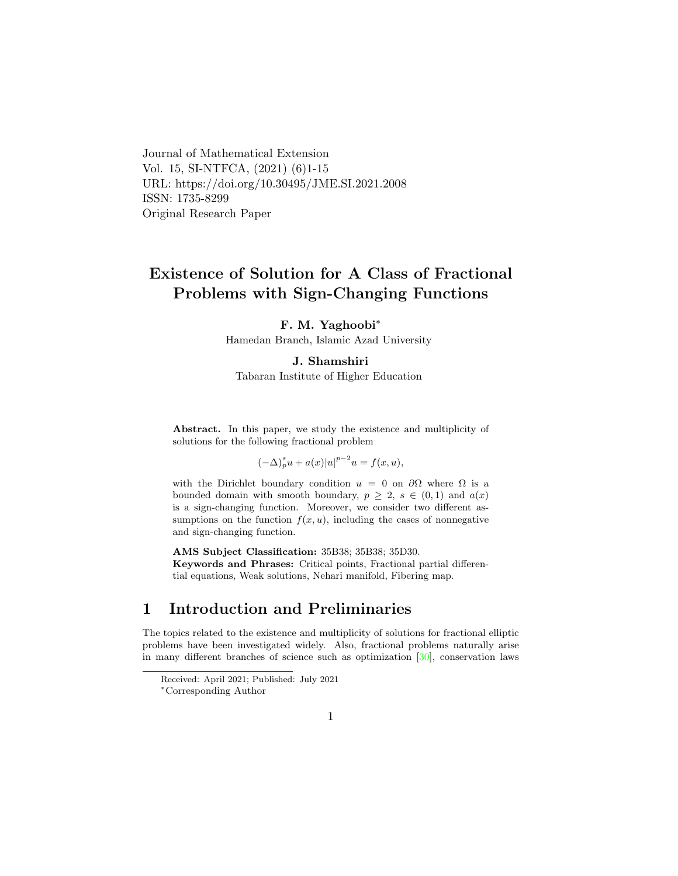Journal of Mathematical Extension Vol. 15, SI-NTFCA, (2021) (6)1-15 URL: https://doi.org/10.30495/JME.SI.2021.2008 ISSN: 1735-8299 Original Research Paper

# Existence of Solution for A Class of Fractional Problems with Sign-Changing Functions

#### F. M. Yaghoobi<sup>∗</sup>

Hamedan Branch, Islamic Azad University

#### J. Shamshir[i](#page-0-0)

Tabaran Institute of Higher Education

Abstract. In this paper, we study the existence and multiplicity of solutions for the following fractional problem

$$
(-\Delta)_p^s u + a(x)|u|^{p-2}u = f(x,u),
$$

with the Dirichlet boundary condition  $u = 0$  on  $\partial\Omega$  where  $\Omega$  is a bounded domain with smooth boundary,  $p \geq 2$ ,  $s \in (0,1)$  and  $a(x)$ is a sign-changing function. Moreover, we consider two different assumptions on the function  $f(x, u)$ , including the cases of nonnegative and sign-changing function.

AMS Subject Classification: 35B38; 35B38; 35D30. Keywords and Phrases: Critical points, Fractional partial differential equations, Weak solutions, Nehari manifold, Fibering map.

# 1 Introduction and Preliminaries

The topics related to the existence and multiplicity of solutions for fractional elliptic problems have been investigated widely. Also, fractional problems naturally arise in many different branches of science such as optimization [\[30\]](#page-12-0), conservation laws

Received: April 2021; Published: July 2021

<span id="page-0-0"></span><sup>∗</sup>Corresponding Author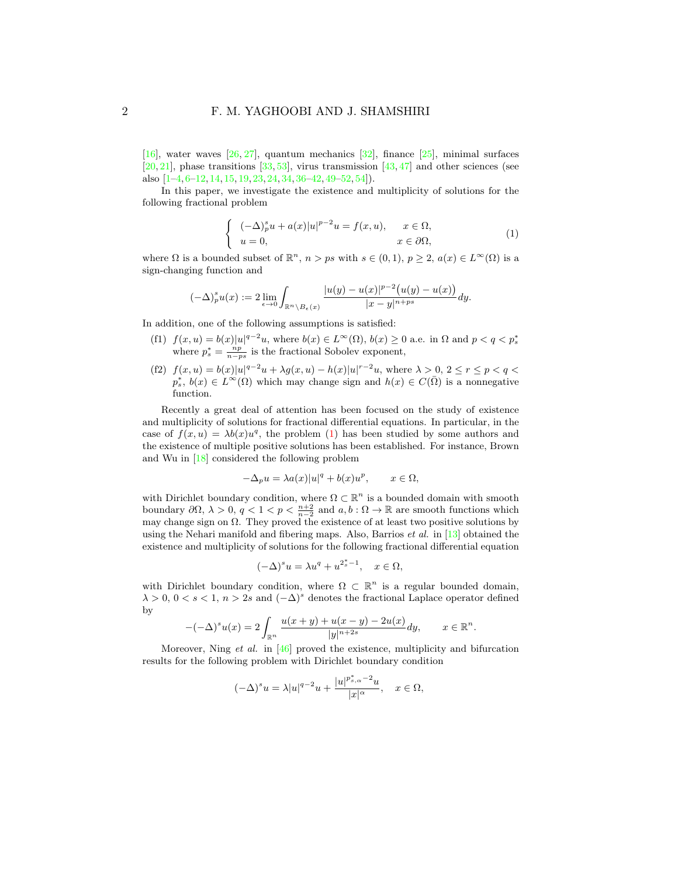[\[16\]](#page-11-0), water waves [\[26,](#page-11-1) [27\]](#page-11-2), quantum mechanics [\[32\]](#page-12-1), finance [\[25\]](#page-11-3), minimal surfaces  $[20, 21]$  $[20, 21]$  $[20, 21]$ , phase transitions  $[33, 53]$  $[33, 53]$  $[33, 53]$ , virus transmission  $[43, 47]$  $[43, 47]$  $[43, 47]$  and other sciences (see also [\[1](#page-10-0)[–4,](#page-10-1) [6–](#page-10-2)[12,](#page-10-3) [14,](#page-11-6) [15,](#page-11-7) [19,](#page-11-8) [23,](#page-11-9) [24,](#page-11-10) [34,](#page-12-4) [36–](#page-12-5)[42,](#page-12-6) [49–](#page-13-2)[52,](#page-13-3) [54\]](#page-13-4)).

In this paper, we investigate the existence and multiplicity of solutions for the following fractional problem

<span id="page-1-0"></span>
$$
\begin{cases}\n(-\Delta)_p^s u + a(x)|u|^{p-2}u = f(x, u), & x \in \Omega, \\
u = 0, & x \in \partial\Omega,\n\end{cases}
$$
\n(1)

where  $\Omega$  is a bounded subset of  $\mathbb{R}^n$ ,  $n > ps$  with  $s \in (0,1)$ ,  $p \geq 2$ ,  $a(x) \in L^{\infty}(\Omega)$  is a sign-changing function and

$$
(-\Delta)^s_p u(x) := 2 \lim_{\epsilon \to 0} \int_{\mathbb{R}^n \setminus B_{\epsilon}(x)} \frac{|u(y) - u(x)|^{p-2} (u(y) - u(x))}{|x - y|^{n+ps}} dy.
$$

In addition, one of the following assumptions is satisfied:

- (f1)  $f(x, u) = b(x)|u|^{q-2}u$ , where  $b(x) \in L^{\infty}(\Omega)$ ,  $b(x) \ge 0$  a.e. in  $\Omega$  and  $p < q < p_s^*$  where  $p_s^* = \frac{np}{n-ps}$  is the fractional Sobolev exponent,
- (f2)  $f(x, u) = b(x)|u|^{q-2}u + \lambda g(x, u) h(x)|u|^{r-2}u$ , where  $\lambda > 0$ ,  $2 \le r \le p < q <$  $p_s^*, b(x) \in L^{\infty}(\Omega)$  which may change sign and  $h(x) \in C(\overline{\Omega})$  is a nonnegative function.

Recently a great deal of attention has been focused on the study of existence and multiplicity of solutions for fractional differential equations. In particular, in the case of  $f(x, u) = \lambda b(x)u^q$ , the problem [\(1\)](#page-1-0) has been studied by some authors and the existence of multiple positive solutions has been established. For instance, Brown and Wu in [\[18\]](#page-11-11) considered the following problem

$$
-\Delta_p u = \lambda a(x)|u|^q + b(x)u^p, \qquad x \in \Omega,
$$

with Dirichlet boundary condition, where  $\Omega \subset \mathbb{R}^n$  is a bounded domain with smooth boundary  $\partial\Omega$ ,  $\lambda > 0$ ,  $q < 1 < p < \frac{n+2}{n-2}$  and  $a, b : \Omega \to \mathbb{R}$  are smooth functions which may change sign on  $\Omega$ . They proved the existence of at least two positive solutions by using the Nehari manifold and fibering maps. Also, Barrios *et al.* in [\[13\]](#page-11-12) obtained the existence and multiplicity of solutions for the following fractional differential equation

$$
(-\Delta)^s u = \lambda u^q + u^{2_s^*-1}, \quad x \in \Omega,
$$

with Dirichlet boundary condition, where  $\Omega \subset \mathbb{R}^n$  is a regular bounded domain,  $\lambda > 0$ ,  $0 < s < 1$ ,  $n > 2s$  and  $(-\Delta)^s$  denotes the fractional Laplace operator defined by

$$
-(-\Delta)^s u(x) = 2 \int_{\mathbb{R}^n} \frac{u(x+y) + u(x-y) - 2u(x)}{|y|^{n+2s}} dy, \qquad x \in \mathbb{R}^n.
$$

Moreover, Ning *et al.* in  $[46]$  proved the existence, multiplicity and bifurcation results for the following problem with Dirichlet boundary condition

$$
(-\Delta)^s u = \lambda |u|^{q-2}u + \frac{|u|^{p^*_{s,\alpha}-2}u}{|x|^{\alpha}}, \quad x \in \Omega,
$$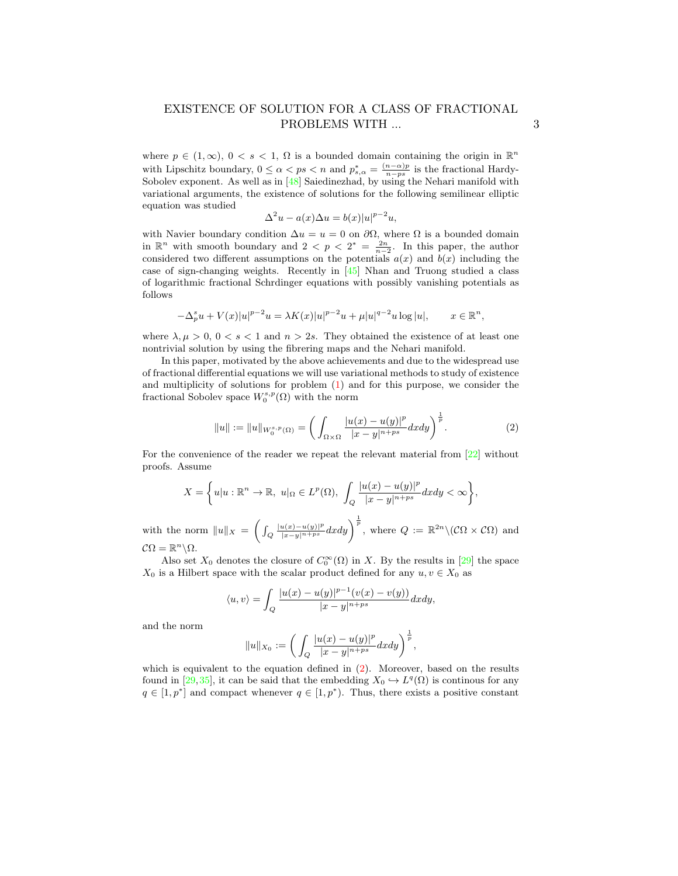where  $p \in (1,\infty)$ ,  $0 < s < 1$ ,  $\Omega$  is a bounded domain containing the origin in  $\mathbb{R}^n$ with Lipschitz boundary,  $0 \le \alpha < ps < n$  and  $p_{s,\alpha}^* = \frac{(n-\alpha)p}{n-ps}$  is the fractional Hardy-Sobolev exponent. As well as in [\[48\]](#page-13-6) Saiedinezhad, by using the Nehari manifold with variational arguments, the existence of solutions for the following semilinear elliptic equation was studied

$$
\Delta^2 u - a(x)\Delta u = b(x)|u|^{p-2}u,
$$

with Navier boundary condition  $\Delta u = u = 0$  on  $\partial \Omega$ , where  $\Omega$  is a bounded domain in  $\mathbb{R}^n$  with smooth boundary and  $2 < p < 2^* = \frac{2n}{n-2}$ . In this paper, the author considered two different assumptions on the potentials  $a(x)$  and  $b(x)$  including the case of sign-changing weights. Recently in [\[45\]](#page-13-7) Nhan and Truong studied a class of logarithmic fractional Schrdinger equations with possibly vanishing potentials as follows

$$
-\Delta_p^s u + V(x)|u|^{p-2}u = \lambda K(x)|u|^{p-2}u + \mu|u|^{q-2}u \log|u|, \qquad x \in \mathbb{R}^n,
$$

where  $\lambda, \mu > 0, 0 < s < 1$  and  $n > 2s$ . They obtained the existence of at least one nontrivial solution by using the fibrering maps and the Nehari manifold.

In this paper, motivated by the above achievements and due to the widespread use of fractional differential equations we will use variational methods to study of existence and multiplicity of solutions for problem [\(1\)](#page-1-0) and for this purpose, we consider the fractional Sobolev space  $W_0^{s,p}(\Omega)$  with the norm

<span id="page-2-0"></span>
$$
||u|| := ||u||_{W_0^{s,p}(\Omega)} = \left(\int_{\Omega \times \Omega} \frac{|u(x) - u(y)|^p}{|x - y|^{n+ps}} dx dy\right)^{\frac{1}{p}}.
$$
 (2)

For the convenience of the reader we repeat the relevant material from [\[22\]](#page-11-13) without proofs. Assume

$$
X = \left\{ u | u : \mathbb{R}^n \to \mathbb{R}, \ u |_{\Omega} \in L^p(\Omega), \ \int_Q \frac{|u(x) - u(y)|^p}{|x - y|^{n + ps}} dx dy < \infty \right\},\
$$

with the norm  $||u||_X = \left(\int_Q \frac{|u(x)-u(y)|^p}{|x-y|^{n+ps}} dxdy\right)^{\frac{1}{p}}$ , where  $Q := \mathbb{R}^{2n} \setminus (\mathcal{C}\Omega \times \mathcal{C}\Omega)$  and  $\mathcal{C}\Omega = \mathbb{R}^n \backslash \Omega.$ 

Also set  $X_0$  denotes the closure of  $C_0^{\infty}(\Omega)$  in X. By the results in [\[29\]](#page-11-14) the space  $X_0$  is a Hilbert space with the scalar product defined for any  $u, v \in X_0$  as

$$
\langle u, v \rangle = \int_Q \frac{|u(x) - u(y)|^{p-1} (v(x) - v(y))}{|x - y|^{n+ps}} dx dy,
$$

and the norm

$$
||u||_{X_0} := \left( \int_Q \frac{|u(x) - u(y)|^p}{|x - y|^{n+ps}} dx dy \right)^{\frac{1}{p}},
$$

which is equivalent to the equation defined in  $(2)$ . Moreover, based on the results found in [\[29,](#page-11-14)[35\]](#page-12-7), it can be said that the embedding  $X_0 \hookrightarrow L^q(\Omega)$  is continuous for any  $q \in [1, p^*]$  and compact whenever  $q \in [1, p^*)$ . Thus, there exists a positive constant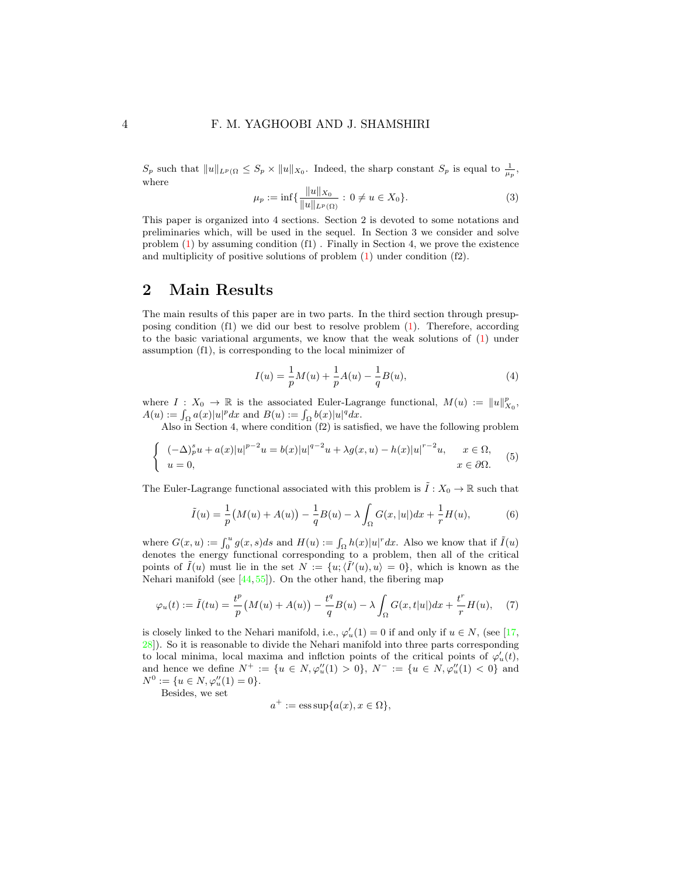#### 4 F. M. YAGHOOBI AND J. SHAMSHIRI

 $S_p$  such that  $||u||_{L^p(\Omega)} \leq S_p \times ||u||_{X_0}$ . Indeed, the sharp constant  $S_p$  is equal to  $\frac{1}{\mu_p}$ , where

<span id="page-3-0"></span>
$$
\mu_p := \inf \{ \frac{\|u\|_{X_0}}{\|u\|_{L^p(\Omega)}} : 0 \neq u \in X_0 \}. \tag{3}
$$

This paper is organized into 4 sections. Section 2 is devoted to some notations and preliminaries which, will be used in the sequel. In Section 3 we consider and solve problem [\(1\)](#page-1-0) by assuming condition (f1) . Finally in Section 4, we prove the existence and multiplicity of positive solutions of problem [\(1\)](#page-1-0) under condition (f2).

### 2 Main Results

The main results of this paper are in two parts. In the third section through presupposing condition  $(f1)$  we did our best to resolve problem  $(1)$ . Therefore, according to the basic variational arguments, we know that the weak solutions of  $(1)$  under assumption (f1), is corresponding to the local minimizer of

<span id="page-3-2"></span>
$$
I(u) = \frac{1}{p}M(u) + \frac{1}{p}A(u) - \frac{1}{q}B(u),
$$
\n(4)

where  $I: X_0 \to \mathbb{R}$  is the associated Euler-Lagrange functional,  $M(u) := ||u||_{X_0}^p$ ,  $A(u) := \int_{\Omega} a(x)|u|^p dx$  and  $B(u) := \int_{\Omega} b(x)|u|^q dx$ .

Also in Section 4, where condition (f2) is satisfied, we have the following problem

<span id="page-3-1"></span>
$$
\begin{cases}\n(-\Delta)_p^s u + a(x)|u|^{p-2}u = b(x)|u|^{q-2}u + \lambda g(x,u) - h(x)|u|^{r-2}u, & x \in \Omega, \\
u = 0, & x \in \partial\Omega.\n\end{cases}
$$
\n(5)

The Euler-Lagrange functional associated with this problem is  $\tilde{I}: X_0 \to \mathbb{R}$  such that

<span id="page-3-4"></span>
$$
\tilde{I}(u) = \frac{1}{p} (M(u) + A(u)) - \frac{1}{q} B(u) - \lambda \int_{\Omega} G(x, |u|) dx + \frac{1}{r} H(u),
$$
\n(6)

where  $G(x, u) := \int_0^u g(x, s)ds$  and  $H(u) := \int_{\Omega} h(x)|u|^r dx$ . Also we know that if  $\tilde{I}(u)$ denotes the energy functional corresponding to a problem, then all of the critical points of  $\tilde{I}(u)$  must lie in the set  $N := \{u, \langle \tilde{I}'(u), u \rangle = 0\}$ , which is known as the Nehari manifold (see  $[44, 55]$  $[44, 55]$  $[44, 55]$ ). On the other hand, the fibering map

<span id="page-3-3"></span>
$$
\varphi_u(t) := \tilde{I}(tu) = \frac{t^p}{p} \left( M(u) + A(u) \right) - \frac{t^q}{q} B(u) - \lambda \int_{\Omega} G(x, t|u|) dx + \frac{t^r}{r} H(u), \quad (7)
$$

is closely linked to the Nehari manifold, i.e.,  $\varphi'_u(1) = 0$  if and only if  $u \in N$ , (see [\[17,](#page-11-15) [28\]](#page-11-16)). So it is reasonable to divide the Nehari manifold into three parts corresponding to local minima, local maxima and inflction points of the critical points of  $\varphi'_u(t)$ , and hence we define  $N^+ := \{u \in N, \varphi''_u(1) > 0\}, N^- := \{u \in N, \varphi''_u(1) < 0\}$  and  $N^0 := \{u \in N, \varphi_u''(1) = 0\}.$ 

Besides, we set

$$
a^+ := \operatorname{ess\,sup} \{a(x), x \in \Omega\},\
$$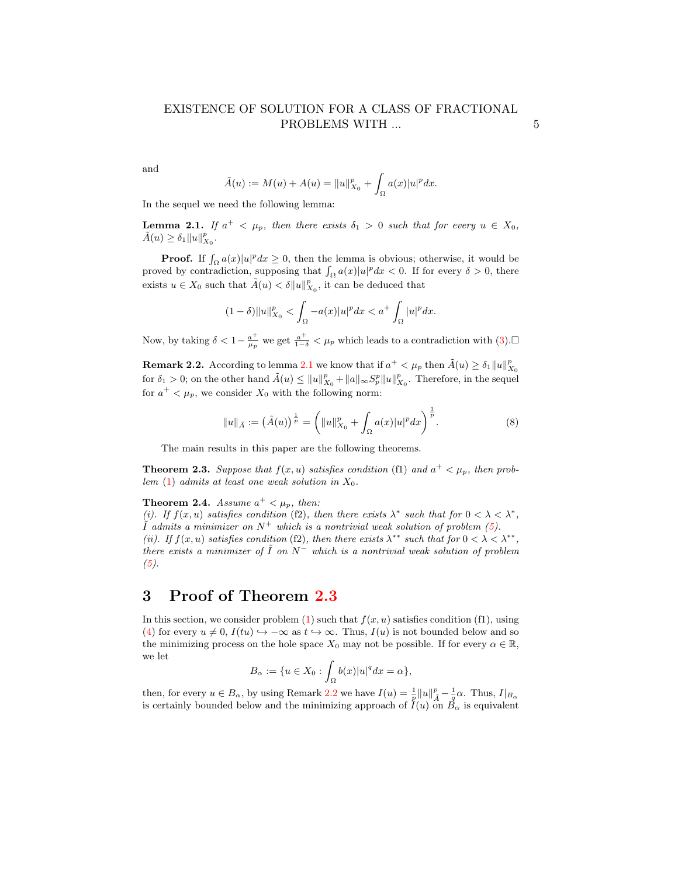and

$$
\tilde{A}(u) := M(u) + A(u) = ||u||_{X_0}^p + \int_{\Omega} a(x)|u|^p dx.
$$

In the sequel we need the following lemma:

<span id="page-4-0"></span>**Lemma 2.1.** If  $a^+ < \mu_p$ , then there exists  $\delta_1 > 0$  such that for every  $u \in X_0$ ,  $\tilde{A}(u) \geq \delta_1 ||u||_{X_0}^p.$ 

**Proof.** If  $\int_{\Omega} a(x)|u|^p dx \ge 0$ , then the lemma is obvious; otherwise, it would be proved by contradiction, supposing that  $\int_{\Omega} a(x)|u|^p dx < 0$ . If for every  $\delta > 0$ , there exists  $u \in X_0$  such that  $\tilde{A}(u) < \delta ||u||_{X_0}^p$ , it can be deduced that

$$
(1-\delta)\|u\|_{X_0}^p < \int_{\Omega} -a(x)|u|^p dx < a^+ \int_{\Omega} |u|^p dx.
$$

Now, by taking  $\delta < 1 - \frac{a^+}{\mu_p}$  we get  $\frac{a^+}{1-\delta} < \mu_p$  which leads to a contradiction with  $(3)$ .

<span id="page-4-2"></span>**Remark 2.2.** According to lemma [2.1](#page-4-0) we know that if  $a^+ < \mu_p$  then  $\tilde{A}(u) \ge \delta_1 ||u||^p_{X_0}$ for  $\delta_1 > 0$ ; on the other hand  $\tilde{A}(u) \leq ||u||_{X_0}^p + ||a||_{\infty} S_p^p ||u||_{X_0}^p$ . Therefore, in the sequel for  $a^+ < \mu_p$ , we consider  $X_0$  with the following norm:

<span id="page-4-4"></span>
$$
||u||_{\tilde{A}} := (\tilde{A}(u))^{\frac{1}{p}} = (||u||_{X_0}^p + \int_{\Omega} a(x)|u|^p dx)^{\frac{1}{p}}.
$$
 (8)

The main results in this paper are the following theorems.

<span id="page-4-1"></span>**Theorem 2.3.** Suppose that  $f(x, u)$  satisfies condition (f1) and  $a^+ < \mu_p$ , then prob-lem [\(1\)](#page-1-0) admits at least one weak solution in  $X_0$ .

<span id="page-4-3"></span>**Theorem 2.4.** Assume  $a^+ < \mu_p$ , then:

(i). If  $f(x, u)$  satisfies condition (f2), then there exists  $\lambda^*$  such that for  $0 < \lambda < \lambda^*$ ,  $\tilde{I}$  admits a minimizer on  $N^+$  which is a nontrivial weak solution of problem [\(5\)](#page-3-1). (ii). If  $f(x, u)$  satisfies condition (f2), then there exists  $\lambda^{**}$  such that for  $0 < \lambda < \lambda^{**}$ , there exists a minimizer of  $\tilde{I}$  on  $N^-$  which is a nontrivial weak solution of problem  $(5).$  $(5).$ 

# 3 Proof of Theorem [2.3](#page-4-1)

In this section, we consider problem  $(1)$  such that  $f(x, u)$  satisfies condition  $(f1)$ , using [\(4\)](#page-3-2) for every  $u \neq 0$ ,  $I(tu) \hookrightarrow -\infty$  as  $t \hookrightarrow \infty$ . Thus,  $I(u)$  is not bounded below and so the minimizing process on the hole space  $X_0$  may not be possible. If for every  $\alpha \in \mathbb{R}$ , we let

$$
B_{\alpha} := \{ u \in X_0 : \int_{\Omega} b(x) |u|^q dx = \alpha \},\
$$

then, for every  $u \in B_\alpha$ , by using Remark [2.2](#page-4-2) we have  $I(u) = \frac{1}{p} ||u||_A^p - \frac{1}{q}\alpha$ . Thus,  $I|_{B_\alpha}$ is certainly bounded below and the minimizing approach of  $I(u)$  on  $B_{\alpha}$  is equivalent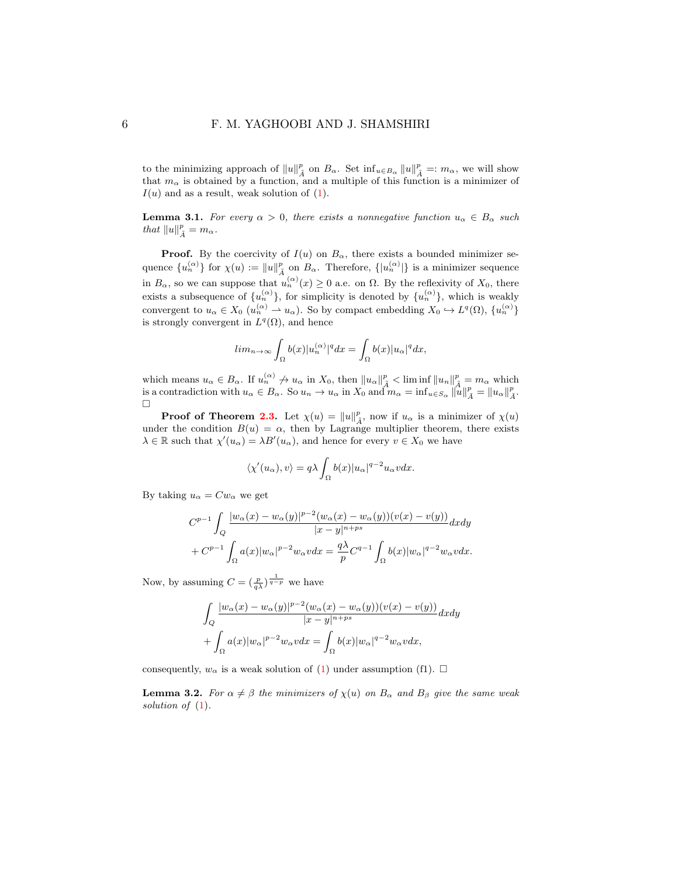to the minimizing approach of  $||u||_A^p$  on  $B_\alpha$ . Set  $\inf_{u \in B_\alpha} ||u||_A^p =: m_\alpha$ , we will show that  $m_{\alpha}$  is obtained by a function, and a multiple of this function is a minimizer of  $I(u)$  and as a result, weak solution of  $(1)$ .

**Lemma 3.1.** For every  $\alpha > 0$ , there exists a nonnegative function  $u_{\alpha} \in B_{\alpha}$  such that  $||u||_{\tilde{A}}^p = m_\alpha$ .

**Proof.** By the coercivity of  $I(u)$  on  $B_\alpha$ , there exists a bounded minimizer sequence  ${u_n^{(\alpha)}}$  for  $\chi(u) := \|u\|_{\tilde{A}}^p$  on  $B_\alpha$ . Therefore,  ${u_n^{(\alpha)}}$  is a minimizer sequence in  $B_{\alpha}$ , so we can suppose that  $u_n^{(\alpha)}(x) \geq 0$  a.e. on  $\Omega$ . By the reflexivity of  $X_0$ , there exists a subsequence of  $\{u_n^{(\alpha)}\}$ , for simplicity is denoted by  $\{u_n^{(\alpha)}\}$ , which is weakly convergent to  $u_{\alpha} \in X_0$   $(u_n^{(\alpha)} \to u_{\alpha})$ . So by compact embedding  $X_0 \hookrightarrow L^q(\Omega)$ ,  $\{u_n^{(\alpha)}\}$ is strongly convergent in  $L^q(\Omega)$ , and hence

$$
lim_{n\to\infty}\int_{\Omega}b(x)|u_n^{(\alpha)}|^qdx=\int_{\Omega}b(x)|u_\alpha|^qdx,
$$

which means  $u_{\alpha} \in B_{\alpha}$ . If  $u_{n}^{(\alpha)} \nightharpoonup u_{\alpha}$  in  $X_0$ , then  $||u_{\alpha}||_{\tilde{A}}^p <$  lim inf  $||u_n||_{\tilde{A}}^p = m_{\alpha}$  which is a contradiction with  $u_{\alpha} \in B_{\alpha}$ . So  $u_n \to u_{\alpha}$  in  $X_0$  and  $m_{\alpha} = \inf_{u \in S_{\alpha}} \|u\|_{\tilde{A}}^p = \|u_{\alpha}\|_{\tilde{A}}^p$ .  $\Box$ 

**Proof of Theorem [2.3.](#page-4-1)** Let  $\chi(u) = ||u||_A^p$ , now if  $u_\alpha$  is a minimizer of  $\chi(u)$ under the condition  $B(u) = \alpha$ , then by Lagrange multiplier theorem, there exists  $\lambda \in \mathbb{R}$  such that  $\chi'(u_{\alpha}) = \lambda B'(u_{\alpha})$ , and hence for every  $v \in X_0$  we have

$$
\langle \chi'(u_{\alpha}), v \rangle = q\lambda \int_{\Omega} b(x) |u_{\alpha}|^{q-2} u_{\alpha} v dx.
$$

By taking  $u_{\alpha} = C w_{\alpha}$  we get

$$
C^{p-1} \int_Q \frac{|w_\alpha(x) - w_\alpha(y)|^{p-2} (w_\alpha(x) - w_\alpha(y))(v(x) - v(y))}{|x - y|^{n+ps}} dx dy
$$
  
+ 
$$
C^{p-1} \int_\Omega a(x) |w_\alpha|^{p-2} w_\alpha v dx = \frac{q\lambda}{p} C^{q-1} \int_\Omega b(x) |w_\alpha|^{q-2} w_\alpha v dx.
$$

Now, by assuming  $C = \left(\frac{p}{q\lambda}\right)^{\frac{1}{q-p}}$  we have

$$
\int_{Q} \frac{|w_{\alpha}(x) - w_{\alpha}(y)|^{p-2} (w_{\alpha}(x) - w_{\alpha}(y))(v(x) - v(y))}{|x - y|^{n+ps}} dx dy
$$

$$
+ \int_{\Omega} a(x)|w_{\alpha}|^{p-2}w_{\alpha}v dx = \int_{\Omega} b(x)|w_{\alpha}|^{q-2}w_{\alpha}v dx,
$$

consequently,  $w_{\alpha}$  is a weak solution of [\(1\)](#page-1-0) under assumption (f1).  $\square$ 

**Lemma 3.2.** For  $\alpha \neq \beta$  the minimizers of  $\chi(u)$  on  $B_{\alpha}$  and  $B_{\beta}$  give the same weak solution of  $(1)$ .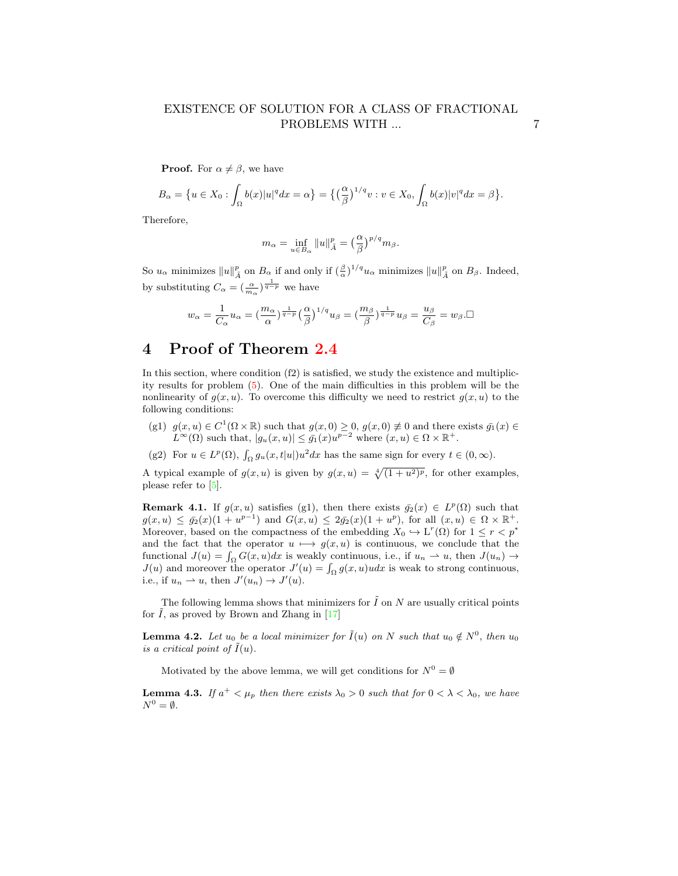**Proof.** For  $\alpha \neq \beta$ , we have

$$
B_{\alpha} = \{ u \in X_0 : \int_{\Omega} b(x)|u|^q dx = \alpha \} = \big\{ \big(\frac{\alpha}{\beta}\big)^{1/q} v : v \in X_0, \int_{\Omega} b(x)|v|^q dx = \beta \big\}.
$$

Therefore,

$$
m_{\alpha} = \inf_{u \in B_{\alpha}} \|u\|_{\tilde{A}}^p = \left(\frac{\alpha}{\beta}\right)^{p/q} m_{\beta}.
$$

So  $u_{\alpha}$  minimizes  $||u||_{\tilde{A}}^p$  on  $B_{\alpha}$  if and only if  $(\frac{\beta}{\alpha})^{1/q}u_{\alpha}$  minimizes  $||u||_{\tilde{A}}^p$  on  $B_{\beta}$ . Indeed, by substituting  $C_{\alpha} = \left(\frac{\alpha}{m_{\alpha}}\right)^{\frac{1}{q-p}}$  we have

$$
w_{\alpha} = \frac{1}{C_{\alpha}} u_{\alpha} = \left(\frac{m_{\alpha}}{\alpha}\right)^{\frac{1}{q-p}} \left(\frac{\alpha}{\beta}\right)^{1/q} u_{\beta} = \left(\frac{m_{\beta}}{\beta}\right)^{\frac{1}{q-p}} u_{\beta} = \frac{u_{\beta}}{C_{\beta}} = w_{\beta}.\square
$$

# 4 Proof of Theorem [2.4](#page-4-3)

In this section, where condition (f2) is satisfied, we study the existence and multiplicity results for problem [\(5\)](#page-3-1). One of the main difficulties in this problem will be the nonlinearity of  $q(x, u)$ . To overcome this difficulty we need to restrict  $q(x, u)$  to the following conditions:

- (g1)  $g(x, u) \in C^1(\Omega \times \mathbb{R})$  such that  $g(x, 0) \geq 0$ ,  $g(x, 0) \neq 0$  and there exists  $\bar{g}_1(x) \in$  $L^{\infty}(\Omega)$  such that,  $|g_u(x, u)| \leq \bar{g}_1(x)u^{p-2}$  where  $(x, u) \in \Omega \times \mathbb{R}^+$ .
- (g2) For  $u \in L^p(\Omega)$ ,  $\int_{\Omega} g_u(x,t|u|)u^2 dx$  has the same sign for every  $t \in (0,\infty)$ .

A typical example of  $g(x, u)$  is given by  $g(x, u) = \sqrt[4]{(1 + u^2)^p}$ , for other examples, please refer to [\[5\]](#page-10-4).

<span id="page-6-0"></span>**Remark 4.1.** If  $g(x, u)$  satisfies (g1), then there exists  $\bar{g}_2(x) \in L^p(\Omega)$  such that  $g(x, u) \leq \bar{g_2}(x) (1 + u^{p-1})$  and  $G(x, u) \leq 2\bar{g_2}(x) (1 + u^p)$ , for all  $(x, u) \in \Omega \times \mathbb{R}^+$ . Moreover, based on the compactness of the embedding  $X_0 \hookrightarrow L^r(\Omega)$  for  $1 \leq r < p^*$ and the fact that the operator  $u \mapsto g(x, u)$  is continuous, we conclude that the functional  $J(u) = \int_{\Omega} G(x, u) dx$  is weakly continuous, i.e., if  $u_n \to u$ , then  $J(u_n) \to$  $J(u)$  and moreover the operator  $J'(u) = \int_{\Omega} g(x, u)u dx$  is weak to strong continuous, i.e., if  $u_n \rightharpoonup u$ , then  $J'(u_n) \to J'(u)$ .

The following lemma shows that minimizers for  $\tilde{I}$  on  $N$  are usually critical points for  $\tilde{I}$ , as proved by Brown and Zhang in [\[17\]](#page-11-15)

<span id="page-6-1"></span>**Lemma 4.2.** Let  $u_0$  be a local minimizer for  $\tilde{I}(u)$  on N such that  $u_0 \notin N^0$ , then  $u_0$ is a critical point of  $I(u)$ .

Motivated by the above lemma, we will get conditions for  $N^0 = \emptyset$ 

<span id="page-6-2"></span>**Lemma 4.3.** If  $a^+ < \mu_p$  then there exists  $\lambda_0 > 0$  such that for  $0 < \lambda < \lambda_0$ , we have  $N^0=\emptyset$ .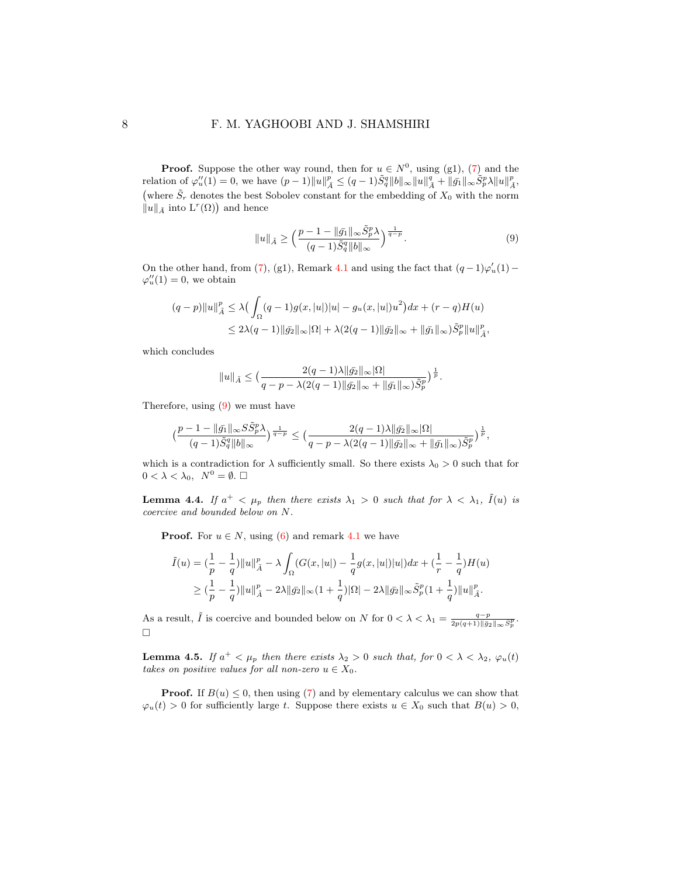#### 8 F. M. YAGHOOBI AND J. SHAMSHIRI

**Proof.** Suppose the other way round, then for  $u \in N^0$ , using (g1), [\(7\)](#page-3-3) and the relation of  $\varphi''_u(1) = 0$ , we have  $(p-1) \|u\|_{\tilde{A}}^p \le (q-1) \tilde{S}_q^q \|b\|_{\infty} \|u\|_{\tilde{A}}^q + \|\tilde{g_1}\|_{\infty} \tilde{S}_p^p \lambda \|u\|_{\tilde{A}}^p$ , (where  $\tilde{S}_r$  denotes the best Sobolev constant for the embedding of  $X_0$  with the norm  $\|u\|_{\tilde{A}}$  into  $L^r(\Omega)$  and hence

<span id="page-7-0"></span>
$$
||u||_{\tilde{A}} \ge \left(\frac{p-1 - ||\bar{g_1}||_{\infty} \tilde{S}_p^p \lambda}{(q-1)\tilde{S}_q^q ||b||_{\infty}}\right)^{\frac{1}{q-p}}.
$$
\n(9)

On the other hand, from [\(7\)](#page-3-3), (g1), Remark [4.1](#page-6-0) and using the fact that  $(q-1)\varphi'_u(1)$  –  $\varphi_u''(1) = 0$ , we obtain

$$
(q-p)||u||_{\tilde{A}}^{p} \leq \lambda \big(\int_{\Omega} (q-1)g(x, |u|)|u| - g_{u}(x, |u|)u^{2}\big)dx + (r-q)H(u)
$$
  

$$
\leq 2\lambda (q-1)||\bar{g}_{2}||_{\infty}|\Omega| + \lambda (2(q-1)||\bar{g}_{2}||_{\infty} + ||\bar{g}_{1}||_{\infty})\tilde{S}_{p}^{p}||u||_{\tilde{A}}^{p},
$$

which concludes

$$
||u||_{\tilde{A}} \le \left(\frac{2(q-1)\lambda ||\bar{g_2}||_{\infty}|\Omega|}{q-p-\lambda(2(q-1)||\bar{g_2}||_{\infty}+||\bar{g_1}||_{\infty})\tilde{S}_p^p}\right)^{\frac{1}{p}}.
$$

Therefore, using [\(9\)](#page-7-0) we must have

$$
\big(\frac{p-1-\|\bar g_1\|_\infty S\tilde S_p^p\lambda}{(q-1)\tilde S_q^q\|b\|_\infty}\big)^{\frac{1}{q-p}}\leq \big(\frac{2(q-1)\lambda\|\bar g_2\|_\infty|\Omega|}{q-p-\lambda(2(q-1)\|\bar g_2\|_\infty+\|\bar g_1\|_\infty)\tilde S_p^p}\big)^{\frac{1}{p}},
$$

which is a contradiction for  $\lambda$  sufficiently small. So there exists  $\lambda_0 > 0$  such that for  $0 < \lambda < \lambda_0, \ N^0 = \emptyset. \ \Box$ 

<span id="page-7-1"></span>**Lemma 4.4.** If  $a^+ < \mu_p$  then there exists  $\lambda_1 > 0$  such that for  $\lambda < \lambda_1$ ,  $\tilde{I}(u)$  is coercive and bounded below on N.

**Proof.** For  $u \in N$ , using [\(6\)](#page-3-4) and remark [4.1](#page-6-0) we have

$$
\tilde{I}(u) = \left(\frac{1}{p} - \frac{1}{q}\right) ||u||_{\tilde{A}}^{p} - \lambda \int_{\Omega} (G(x, |u|) - \frac{1}{q} g(x, |u|) |u|) dx + \left(\frac{1}{r} - \frac{1}{q}\right) H(u) \n\geq \left(\frac{1}{p} - \frac{1}{q}\right) ||u||_{\tilde{A}}^{p} - 2\lambda ||\bar{g}_{2}||_{\infty} (1 + \frac{1}{q}) |\Omega| - 2\lambda ||\bar{g}_{2}||_{\infty} \tilde{S}_{p}^{p} (1 + \frac{1}{q}) ||u||_{\tilde{A}}^{p}.
$$

As a result,  $\tilde{I}$  is coercive and bounded below on N for  $0 < \lambda < \lambda_1 = \frac{q-p}{2p(q+1)\|\bar{g}_2\|_{\infty} \tilde{S}_p^p}$ .  $\Box$ 

<span id="page-7-2"></span>**Lemma 4.5.** If  $a^+ < \mu_p$  then there exists  $\lambda_2 > 0$  such that, for  $0 < \lambda < \lambda_2$ ,  $\varphi_u(t)$ takes on positive values for all non-zero  $u \in X_0$ .

**Proof.** If  $B(u) \leq 0$ , then using [\(7\)](#page-3-3) and by elementary calculus we can show that  $\varphi_u(t) > 0$  for sufficiently large t. Suppose there exists  $u \in X_0$  such that  $B(u) > 0$ ,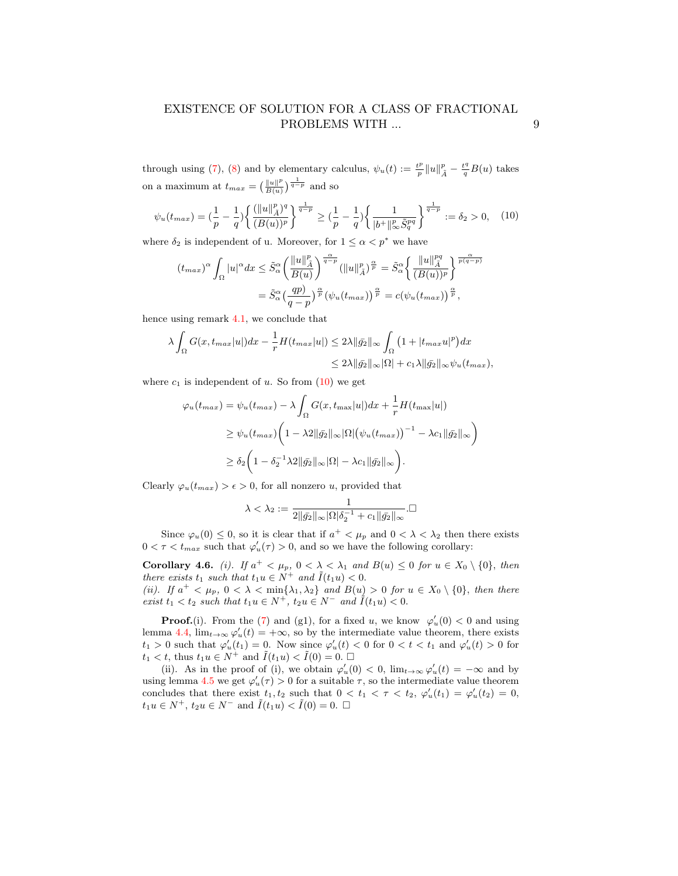through using [\(7\)](#page-3-3), [\(8\)](#page-4-4) and by elementary calculus,  $\psi_u(t) := \frac{t^p}{n}$  $\frac{t^p}{p} \|u\|_{\tilde{A}}^p - \frac{t^q}{q} B(u)$  takes on a maximum at  $t_{max} = \left(\frac{\|u\|^p}{B(u)}\right)^p$  $rac{\|u\|^p}{B(u)}$   $\frac{1}{q-p}$  and so

<span id="page-8-0"></span>
$$
\psi_u(t_{max}) = \left(\frac{1}{p} - \frac{1}{q}\right) \left\{ \frac{(\|u\|_{\tilde{A}}^p)^q}{(B(u))^p} \right\}^{\frac{1}{q-p}} \ge \left(\frac{1}{p} - \frac{1}{q}\right) \left\{ \frac{1}{|b^+|_{\infty}^p \tilde{S}_q^{pq}} \right\}^{\frac{1}{q-p}} := \delta_2 > 0, \quad (10)
$$

where  $\delta_2$  is independent of u. Moreover, for  $1 \leq \alpha < p^*$  we have

$$
(t_{max})^{\alpha} \int_{\Omega} |u|^{\alpha} dx \leq \tilde{S}_{\alpha}^{\alpha} \left( \frac{\|u\|_{\tilde{A}}^p}{B(u)} \right)^{\frac{\alpha}{q-p}} (\|u\|_{\tilde{A}}^p)^{\frac{\alpha}{p}} = \tilde{S}_{\alpha}^{\alpha} \left\{ \frac{\|u\|_{\tilde{A}}^{pq}}{(B(u))^p} \right\}^{\frac{\alpha}{p(q-p)}}
$$

$$
= \tilde{S}_{\alpha}^{\alpha} \left( \frac{qp}{q-p} \right)^{\frac{\alpha}{p}} \left( \psi_u(t_{max}) \right)^{\frac{\alpha}{p}} = c(\psi_u(t_{max}))^{\frac{\alpha}{p}},
$$

hence using remark [4.1,](#page-6-0) we conclude that

$$
\lambda \int_{\Omega} G(x, t_{max}|u|) dx - \frac{1}{r} H(t_{max}|u|) \le 2\lambda ||\bar{g_2}||_{\infty} \int_{\Omega} \left(1 + |t_{max}u|^p\right) dx
$$
  

$$
\le 2\lambda ||\bar{g_2}||_{\infty} |\Omega| + c_1\lambda ||\bar{g_2}||_{\infty} \psi_u(t_{max}),
$$

where  $c_1$  is independent of u. So from  $(10)$  we get

$$
\varphi_u(t_{max}) = \psi_u(t_{max}) - \lambda \int_{\Omega} G(x, t_{max}|u|) dx + \frac{1}{r} H(t_{max}|u|)
$$
  
\n
$$
\geq \psi_u(t_{max}) \left(1 - \lambda 2 \|\bar{g_2}\|_{\infty} |\Omega| \left(\psi_u(t_{max})\right)^{-1} - \lambda c_1 \|\bar{g_2}\|_{\infty}\right)
$$
  
\n
$$
\geq \delta_2 \left(1 - \delta_2^{-1} \lambda 2 \|\bar{g_2}\|_{\infty} |\Omega| - \lambda c_1 \|\bar{g_2}\|_{\infty}\right).
$$

Clearly  $\varphi_u(t_{max}) > \epsilon > 0$ , for all nonzero u, provided that

$$
\lambda<\lambda_2:=\frac{1}{2\|\bar{g_2}\|_{\infty}|\Omega|\delta_2^{-1}+c_1\|\bar{g_2}\|_{\infty}}.\square
$$

Since  $\varphi_u(0) \leq 0$ , so it is clear that if  $a^+ < \mu_p$  and  $0 < \lambda < \lambda_2$  then there exists  $0 < \tau < t_{max}$  such that  $\varphi'_u(\tau) > 0$ , and so we have the following corollary:

<span id="page-8-1"></span>**Corollary 4.6.** (i). If  $a^+ < \mu_p$ ,  $0 < \lambda < \lambda_1$  and  $B(u) \leq 0$  for  $u \in X_0 \setminus \{0\}$ , then there exists  $t_1$  such that  $t_1u \in N^+$  and  $\tilde{I}(t_1u) < 0$ . (ii). If  $a^+ < \mu_p$ ,  $0 < \lambda < \min\{\lambda_1, \lambda_2\}$  and  $B(u) > 0$  for  $u \in X_0 \setminus \{0\}$ , then there

exist  $t_1 < t_2$  such that  $t_1u \in N^+$ ,  $t_2u \in N^-$  and  $\tilde{I}(t_1u) < 0$ . **Proof.**(i). From the [\(7\)](#page-3-3) and (g1), for a fixed u, we know  $\varphi'_u(0) < 0$  and using lemma [4.4,](#page-7-1)  $\lim_{t\to\infty} \varphi'_u(t) = +\infty$ , so by the intermediate value theorem, there exists

 $t_1 > 0$  such that  $\varphi'_u(t_1) = 0$ . Now since  $\varphi'_u(t) < 0$  for  $0 < t < t_1$  and  $\varphi'_u(t) > 0$  for  $t_1 < t$ , thus  $t_1 u \in N^+$  and  $\tilde{I}(t_1 u) < \tilde{I}(0) = 0$ . (ii). As in the proof of (i), we obtain  $\varphi'_u(0) < 0$ ,  $\lim_{t\to\infty} \varphi'_u(t) = -\infty$  and by using lemma [4.5](#page-7-2) we get  $\varphi'_u(\tau) > 0$  for a suitable  $\tau$ , so the intermediate value theorem

concludes that there exist  $t_1, t_2$  such that  $0 < t_1 < \tau < t_2$ ,  $\varphi'_u(t_1) = \varphi'_u(t_2) = 0$ ,  $t_1u \in N^+$ ,  $t_2u \in N^-$  and  $\tilde{I}(t_1u) < \tilde{I}(0) = 0$ .  $\Box$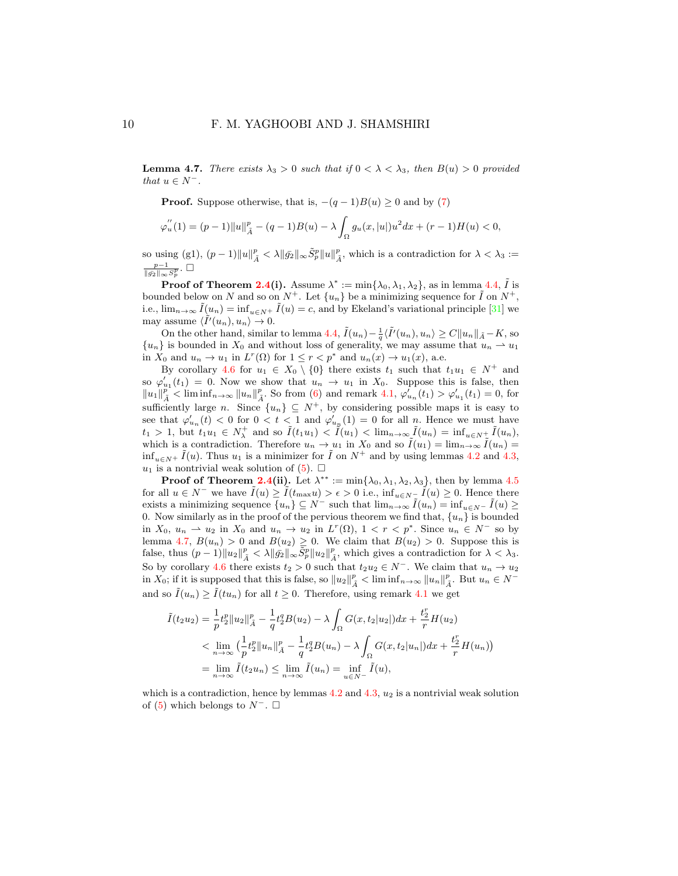<span id="page-9-0"></span>**Lemma 4.7.** There exists  $\lambda_3 > 0$  such that if  $0 < \lambda < \lambda_3$ , then  $B(u) > 0$  provided that  $u \in N^-$ .

**Proof.** Suppose otherwise, that is,  $-(q-1)B(u) \geq 0$  and by [\(7\)](#page-3-3)

$$
\varphi_{u}^{''}(1) = (p-1)||u||_{\tilde{A}}^{p} - (q-1)B(u) - \lambda \int_{\Omega} g_{u}(x, |u|)u^{2}dx + (r-1)H(u) < 0,
$$

so using (g1),  $(p-1) \|u\|_{\tilde{A}}^p < \lambda \|\bar{g_2}\|_{\infty} \tilde{S}_p^p \|u\|_{\tilde{A}}^p$ , which is a contradiction for  $\lambda < \lambda_3 :=$  $\frac{p-1}{\|\bar{g_2}\|_{\infty}S_p^p}$ . □

**Proof of Theorem [2.4\(](#page-4-3)i).** Assume  $\lambda^* := \min\{\lambda_0, \lambda_1, \lambda_2\}$ , as in lemma [4.4,](#page-7-1)  $\tilde{I}$  is bounded below on N and so on  $N^+$ . Let  $\{u_n\}$  be a minimizing sequence for  $\tilde{I}$  on  $N^+$ , i.e.,  $\lim_{n\to\infty} \tilde{I}(u_n) = \inf_{u\in\mathbb{N}^+} \tilde{I}(u) = c$ , and by Ekeland's variational principle [\[31\]](#page-12-9) we may assume  $\langle \tilde{I}'(u_n), u_n \rangle \to 0$ .

On the other hand, similar to lemma [4.4,](#page-7-1)  $\tilde{I}(u_n) - \frac{1}{q} \langle \tilde{I}'(u_n), u_n \rangle \ge C ||u_n||_{\tilde{A}} - K$ , so  ${u_n}$  is bounded in  $X_0$  and without loss of generality, we may assume that  $u_n \rightharpoonup u_1$ in  $X_0$  and  $u_n \to u_1$  in  $L^r(\Omega)$  for  $1 \leq r < p^*$  and  $u_n(x) \to u_1(x)$ , a.e.

By corollary [4.6](#page-8-1) for  $u_1 \in X_0 \setminus \{0\}$  there exists  $t_1$  such that  $t_1u_1 \in N^+$  and so  $\varphi'_{u_1}(t_1) = 0$ . Now we show that  $u_n \to u_1$  in  $X_0$ . Suppose this is false, then  $||u_1||^p_{\tilde{A}}$  < lim inf<sub>n→∞</sub>  $||u_n||^p_{\tilde{A}}$ . So from [\(6\)](#page-3-4) and remark [4.1,](#page-6-0)  $\varphi'_{u_n}(t_1) > \varphi'_{u_1}(t_1) = 0$ , for sufficiently large n. Since  $\{u_n\} \subseteq N^+$ , by considering possible maps it is easy to see that  $\varphi'_{u_n}(t) < 0$  for  $0 < t < 1$  and  $\varphi'_{u_n}(1) = 0$  for all n. Hence we must have  $t_1 > 1$ , but  $t_1u_1 \in N_\lambda^+$  and so  $\tilde{I}(t_1u_1) < \tilde{I}(u_1) < \lim_{n \to \infty} \tilde{I}(u_n) = \inf_{u \in N_\lambda^+} \tilde{I}(u_n)$ , which is a contradiction. Therefore  $u_n \to u_1$  in  $X_0$  and so  $\tilde{I}(u_1) = \lim_{n \to \infty} \tilde{I}(u_n) =$  $\inf_{u \in N^+} \tilde{I}(u)$ . Thus  $u_1$  is a minimizer for  $\tilde{I}$  on  $N^+$  and by using lemmas [4.2](#page-6-1) and [4.3,](#page-6-2)  $u_1$  is a nontrivial weak solution of  $(5)$ .  $\Box$ 

**Proof of Theorem [2.4\(](#page-4-3)ii).** Let  $\lambda^{**} := \min{\{\lambda_0, \lambda_1, \lambda_2, \lambda_3\}}$ , then by lemma [4.5](#page-7-2) for all  $u \in N^-$  we have  $\tilde{I}(u) \geq \tilde{I}(t_{\max}u) > \epsilon > 0$  i.e.,  $\inf_{u \in N^-} \tilde{I}(u) \geq 0$ . Hence there exists a minimizing sequence  $\{u_n\} \subseteq N^-$  such that  $\lim_{n\to\infty} \tilde{I}(u_n) = \inf_{u\in N^-} \tilde{I}(u) \ge$ 0. Now similarly as in the proof of the pervious theorem we find that,  $\{u_n\}$  is bounded in  $X_0$ ,  $u_n \rightharpoonup u_2$  in  $X_0$  and  $u_n \rightharpoonup u_2$  in  $L^r(\Omega)$ ,  $1 < r < p^*$ . Since  $u_n \in N^-$  so by lemma [4.7,](#page-9-0)  $B(u_n) > 0$  and  $B(u_2) \geq 0$ . We claim that  $B(u_2) > 0$ . Suppose this is false, thus  $(p-1) \|u_2\|_{\tilde{A}}^p < \lambda \|\tilde{g_2}\|_{\infty} \tilde{S}_p^p \|u_2\|_{\tilde{A}}^p$ , which gives a contradiction for  $\lambda < \lambda_3$ . So by corollary [4.6](#page-8-1) there exists  $t_2 > 0$  such that  $t_2u_2 \in N^-$ . We claim that  $u_n \to u_2$ in  $X_0$ ; if it is supposed that this is false, so  $||u_2||^p_{\tilde{A}} < \liminf_{n \to \infty} ||u_n||^p_{\tilde{A}}$ . But  $u_n \in N^$ and so  $\tilde{I}(u_n) \geq \tilde{I}(tu_n)$  for all  $t \geq 0$ . Therefore, using remark [4.1](#page-6-0) we get

$$
\tilde{I}(t_2u_2) = \frac{1}{p}t_2^p \|u_2\|_{\tilde{A}}^p - \frac{1}{q}t_2^q B(u_2) - \lambda \int_{\Omega} G(x, t_2|u_2|) dx + \frac{t_2^r}{r} H(u_2)
$$
\n
$$
< \lim_{n \to \infty} \left(\frac{1}{p}t_2^p \|u_n\|_{\tilde{A}}^p - \frac{1}{q}t_2^q B(u_n) - \lambda \int_{\Omega} G(x, t_2|u_n|) dx + \frac{t_2^r}{r} H(u_n) \right)
$$
\n
$$
= \lim_{n \to \infty} \tilde{I}(t_2u_n) \le \lim_{n \to \infty} \tilde{I}(u_n) = \inf_{u \in N^-} \tilde{I}(u),
$$

which is a contradiction, hence by lemmas  $4.2$  and  $4.3$ ,  $u_2$  is a nontrivial weak solution of [\(5\)](#page-3-1) which belongs to  $N^-$ .  $\square$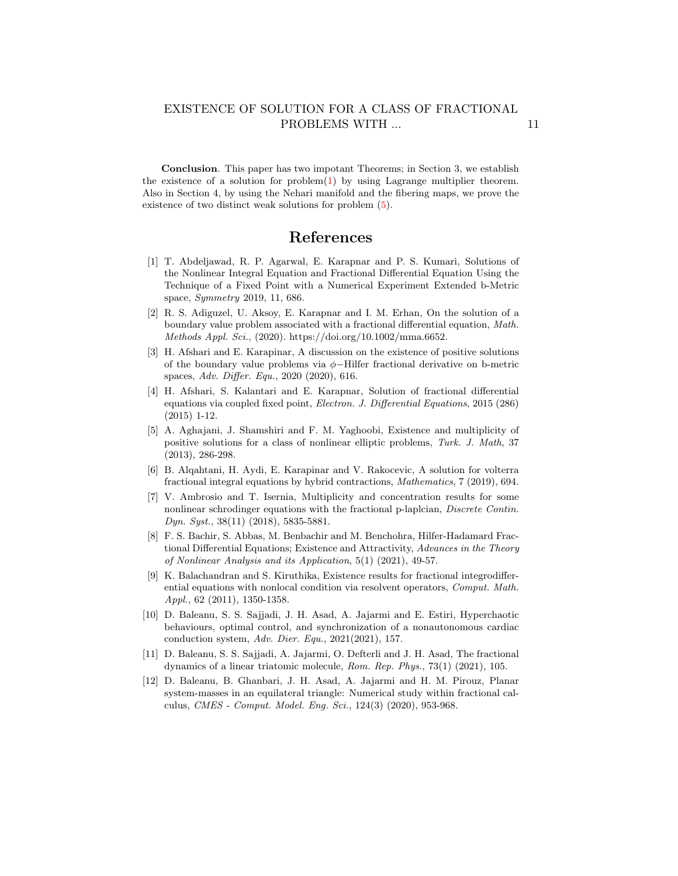Conclusion. This paper has two impotant Theorems; in Section 3, we establish the existence of a solution for problem $(1)$  by using Lagrange multiplier theorem. Also in Section 4, by using the Nehari manifold and the fibering maps, we prove the existence of two distinct weak solutions for problem [\(5\)](#page-3-1).

## References

- <span id="page-10-0"></span>[1] T. Abdeljawad, R. P. Agarwal, E. Karapnar and P. S. Kumari, Solutions of the Nonlinear Integral Equation and Fractional Differential Equation Using the Technique of a Fixed Point with a Numerical Experiment Extended b-Metric space, Symmetry 2019, 11, 686.
- [2] R. S. Adiguzel, U. Aksoy, E. Karapnar and I. M. Erhan, On the solution of a boundary value problem associated with a fractional differential equation, Math. Methods Appl. Sci., (2020). https://doi.org/10.1002/mma.6652.
- [3] H. Afshari and E. Karapinar, A discussion on the existence of positive solutions of the boundary value problems via φ−Hilfer fractional derivative on b-metric spaces, Adv. Differ. Equ., 2020 (2020), 616.
- <span id="page-10-1"></span>[4] H. Afshari, S. Kalantari and E. Karapnar, Solution of fractional differential equations via coupled fixed point, Electron. J. Differential Equations, 2015 (286) (2015) 1-12.
- <span id="page-10-4"></span>[5] A. Aghajani, J. Shamshiri and F. M. Yaghoobi, Existence and multiplicity of positive solutions for a class of nonlinear elliptic problems, Turk. J. Math, 37 (2013), 286-298.
- <span id="page-10-2"></span>[6] B. Alqahtani, H. Aydi, E. Karapinar and V. Rakocevic, A solution for volterra fractional integral equations by hybrid contractions, Mathematics, 7 (2019), 694.
- [7] V. Ambrosio and T. Isernia, Multiplicity and concentration results for some nonlinear schrodinger equations with the fractional p-laplcian, Discrete Contin. Dyn. Syst., 38(11) (2018), 5835-5881.
- [8] F. S. Bachir, S. Abbas, M. Benbachir and M. Benchohra, Hilfer-Hadamard Fractional Differential Equations; Existence and Attractivity, Advances in the Theory of Nonlinear Analysis and its Application, 5(1) (2021), 49-57.
- [9] K. Balachandran and S. Kiruthika, Existence results for fractional integrodifferential equations with nonlocal condition via resolvent operators, Comput. Math. Appl., 62 (2011), 1350-1358.
- [10] D. Baleanu, S. S. Sajjadi, J. H. Asad, A. Jajarmi and E. Estiri, Hyperchaotic behaviours, optimal control, and synchronization of a nonautonomous cardiac conduction system, Adv. Dier. Equ., 2021(2021), 157.
- [11] D. Baleanu, S. S. Sajjadi, A. Jajarmi, O. Defterli and J. H. Asad, The fractional dynamics of a linear triatomic molecule, Rom. Rep. Phys., 73(1) (2021), 105.
- <span id="page-10-3"></span>[12] D. Baleanu, B. Ghanbari, J. H. Asad, A. Jajarmi and H. M. Pirouz, Planar system-masses in an equilateral triangle: Numerical study within fractional calculus, CMES - Comput. Model. Eng. Sci., 124(3) (2020), 953-968.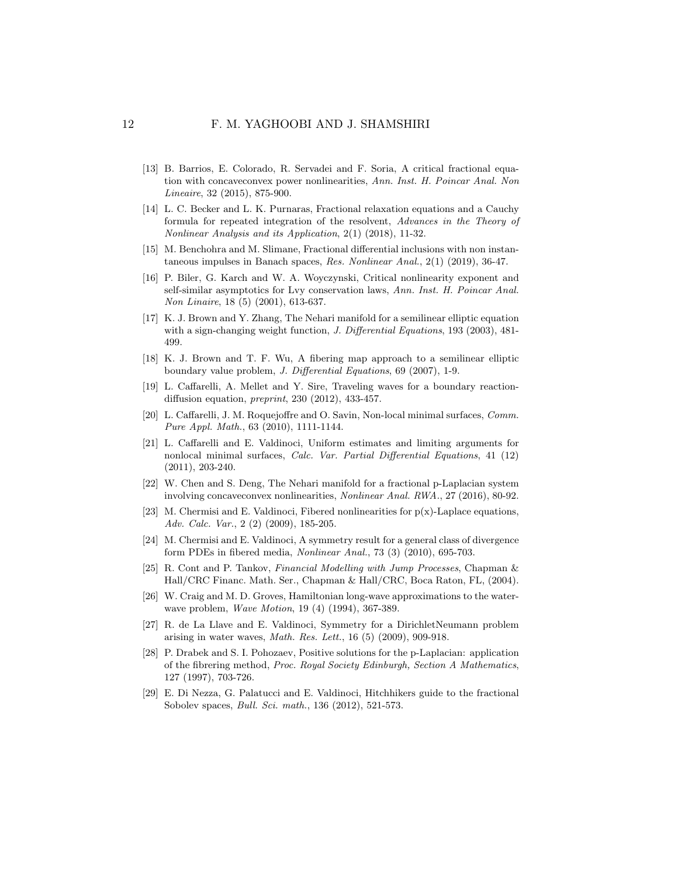- <span id="page-11-12"></span>[13] B. Barrios, E. Colorado, R. Servadei and F. Soria, A critical fractional equation with concaveconvex power nonlinearities, Ann. Inst. H. Poincar Anal. Non Lineaire, 32 (2015), 875-900.
- <span id="page-11-6"></span>[14] L. C. Becker and L. K. Purnaras, Fractional relaxation equations and a Cauchy formula for repeated integration of the resolvent, Advances in the Theory of Nonlinear Analysis and its Application, 2(1) (2018), 11-32.
- <span id="page-11-7"></span>[15] M. Benchohra and M. Slimane, Fractional differential inclusions with non instantaneous impulses in Banach spaces, Res. Nonlinear Anal., 2(1) (2019), 36-47.
- <span id="page-11-0"></span>[16] P. Biler, G. Karch and W. A. Woyczynski, Critical nonlinearity exponent and self-similar asymptotics for Lvy conservation laws, Ann. Inst. H. Poincar Anal. Non Linaire, 18 (5) (2001), 613-637.
- <span id="page-11-15"></span>[17] K. J. Brown and Y. Zhang, The Nehari manifold for a semilinear elliptic equation with a sign-changing weight function, *J. Differential Equations*, 193 (2003), 481-499.
- <span id="page-11-11"></span>[18] K. J. Brown and T. F. Wu, A fibering map approach to a semilinear elliptic boundary value problem, J. Differential Equations, 69 (2007), 1-9.
- <span id="page-11-8"></span>[19] L. Caffarelli, A. Mellet and Y. Sire, Traveling waves for a boundary reactiondiffusion equation, preprint, 230 (2012), 433-457.
- <span id="page-11-4"></span>[20] L. Caffarelli, J. M. Roquejoffre and O. Savin, Non-local minimal surfaces, Comm. Pure Appl. Math., 63 (2010), 1111-1144.
- <span id="page-11-5"></span>[21] L. Caffarelli and E. Valdinoci, Uniform estimates and limiting arguments for nonlocal minimal surfaces, Calc. Var. Partial Differential Equations, 41 (12) (2011), 203-240.
- <span id="page-11-13"></span>[22] W. Chen and S. Deng, The Nehari manifold for a fractional p-Laplacian system involving concaveconvex nonlinearities, Nonlinear Anal. RWA., 27 (2016), 80-92.
- <span id="page-11-9"></span>[23] M. Chermisi and E. Valdinoci, Fibered nonlinearities for p(x)-Laplace equations, Adv. Calc. Var., 2 (2) (2009), 185-205.
- <span id="page-11-10"></span>[24] M. Chermisi and E. Valdinoci, A symmetry result for a general class of divergence form PDEs in fibered media, Nonlinear Anal., 73 (3) (2010), 695-703.
- <span id="page-11-3"></span>[25] R. Cont and P. Tankov, Financial Modelling with Jump Processes, Chapman & Hall/CRC Financ. Math. Ser., Chapman & Hall/CRC, Boca Raton, FL, (2004).
- <span id="page-11-1"></span>[26] W. Craig and M. D. Groves, Hamiltonian long-wave approximations to the waterwave problem, *Wave Motion*, 19 (4) (1994), 367-389.
- <span id="page-11-2"></span>[27] R. de La Llave and E. Valdinoci, Symmetry for a DirichletNeumann problem arising in water waves, Math. Res. Lett., 16 (5) (2009), 909-918.
- <span id="page-11-16"></span>[28] P. Drabek and S. I. Pohozaev, Positive solutions for the p-Laplacian: application of the fibrering method, Proc. Royal Society Edinburgh, Section A Mathematics, 127 (1997), 703-726.
- <span id="page-11-14"></span>[29] E. Di Nezza, G. Palatucci and E. Valdinoci, Hitchhikers guide to the fractional Sobolev spaces, Bull. Sci. math., 136 (2012), 521-573.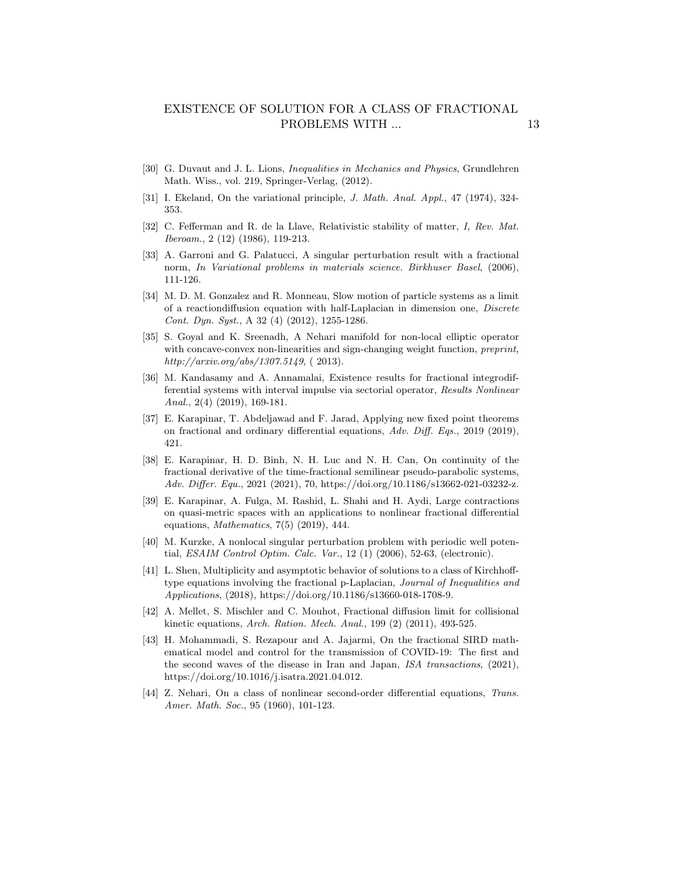- <span id="page-12-0"></span>[30] G. Duvaut and J. L. Lions, Inequalities in Mechanics and Physics, Grundlehren Math. Wiss., vol. 219, Springer-Verlag, (2012).
- <span id="page-12-9"></span>[31] I. Ekeland, On the variational principle, J. Math. Anal. Appl., 47 (1974), 324- 353.
- <span id="page-12-1"></span>[32] C. Fefferman and R. de la Llave, Relativistic stability of matter, I, Rev. Mat. Iberoam., 2 (12) (1986), 119-213.
- <span id="page-12-2"></span>[33] A. Garroni and G. Palatucci, A singular perturbation result with a fractional norm, In Variational problems in materials science. Birkhuser Basel, (2006), 111-126.
- <span id="page-12-4"></span>[34] M. D. M. Gonzalez and R. Monneau, Slow motion of particle systems as a limit of a reactiondiffusion equation with half-Laplacian in dimension one, Discrete Cont. Dyn. Syst., A 32 (4) (2012), 1255-1286.
- <span id="page-12-7"></span>[35] S. Goyal and K. Sreenadh, A Nehari manifold for non-local elliptic operator with concave-convex non-linearities and sign-changing weight function, *preprint*, http://arxiv.org/abs/1307.5149, ( 2013).
- <span id="page-12-5"></span>[36] M. Kandasamy and A. Annamalai, Existence results for fractional integrodifferential systems with interval impulse via sectorial operator, Results Nonlinear Anal., 2(4) (2019), 169-181.
- [37] E. Karapinar, T. Abdeljawad and F. Jarad, Applying new fixed point theorems on fractional and ordinary differential equations, Adv. Diff. Eqs., 2019 (2019), 421.
- [38] E. Karapinar, H. D. Binh, N. H. Luc and N. H. Can, On continuity of the fractional derivative of the time-fractional semilinear pseudo-parabolic systems, Adv. Differ. Equ., 2021 (2021), 70, https://doi.org/10.1186/s13662-021-03232-z.
- [39] E. Karapinar, A. Fulga, M. Rashid, L. Shahi and H. Aydi, Large contractions on quasi-metric spaces with an applications to nonlinear fractional differential equations, Mathematics, 7(5) (2019), 444.
- [40] M. Kurzke, A nonlocal singular perturbation problem with periodic well potential, ESAIM Control Optim. Calc. Var., 12 (1) (2006), 52-63, (electronic).
- [41] L. Shen, Multiplicity and asymptotic behavior of solutions to a class of Kirchhofftype equations involving the fractional p-Laplacian, Journal of Inequalities and Applications, (2018), https://doi.org/10.1186/s13660-018-1708-9.
- <span id="page-12-6"></span>[42] A. Mellet, S. Mischler and C. Mouhot, Fractional diffusion limit for collisional kinetic equations, Arch. Ration. Mech. Anal., 199 (2) (2011), 493-525.
- <span id="page-12-3"></span>[43] H. Mohammadi, S. Rezapour and A. Jajarmi, On the fractional SIRD mathematical model and control for the transmission of COVID-19: The first and the second waves of the disease in Iran and Japan, ISA transactions, (2021), https://doi.org/10.1016/j.isatra.2021.04.012.
- <span id="page-12-8"></span>[44] Z. Nehari, On a class of nonlinear second-order differential equations, Trans. Amer. Math. Soc., 95 (1960), 101-123.